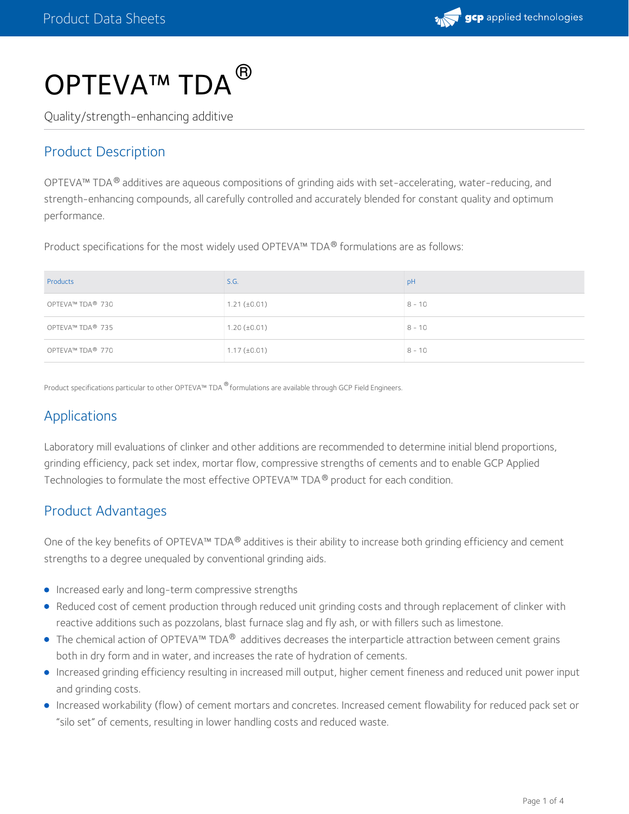

# OPTEVA™ TDA ®

Quality/strength-enhancing additive

## Product Description

OPTEVA™ TDA® additives are aqueous compositions of grinding aids with set-accelerating, water-reducing, and strength-enhancing compounds, all carefully controlled and accurately blended for constant quality and optimum performance.

Product specifications for the most widely used OPTEVA™ TDA® formulations are as follows:

| Products         | S.G.              | pH       |
|------------------|-------------------|----------|
| OPTEVA™ TDA® 730 | $1.21 (\pm 0.01)$ | $8 - 10$ |
| OPTEVA™ TDA® 735 | $1.20 (\pm 0.01)$ | $8 - 10$ |
| OPTEVA™ TDA® 770 | $1.17 (\pm 0.01)$ | $8 - 10$ |

Product specifications particular to other OPTEVA™ TDA ® formulations are available through GCP Field Engineers.

## Applications

Laboratory mill evaluations of clinker and other additions are recommended to determine initial blend proportions, grinding efficiency, pack set index, mortar flow, compressive strengths of cements and to enable GCP Applied Technologies to formulate the most effective OPTEVA™ TDA  $^\circledR$  product for each condition.

#### Product Advantages

One of the key benefits of OPTEVA™ TDA® additives is their ability to increase both grinding efficiency and cement strengths to a degree unequaled by conventional grinding aids.

- **Increased early and long-term compressive strengths**
- Reduced cost of cement production through reduced unit grinding costs and through replacement of clinker with reactive additions such as pozzolans, blast furnace slag and fly ash, or with fillers such as limestone.
- The chemical action of OPTEVA™ TDA® additives decreases the interparticle attraction between cement grains both in dry form and in water, and increases the rate of hydration of cements.
- Increased grinding efficiency resulting in increased mill output, higher cement fineness and reduced unit power input and grinding costs.
- Increased workability (flow) of cement mortars and concretes. Increased cement flowability for reduced pack set or "silo set" of cements, resulting in lower handling costs and reduced waste.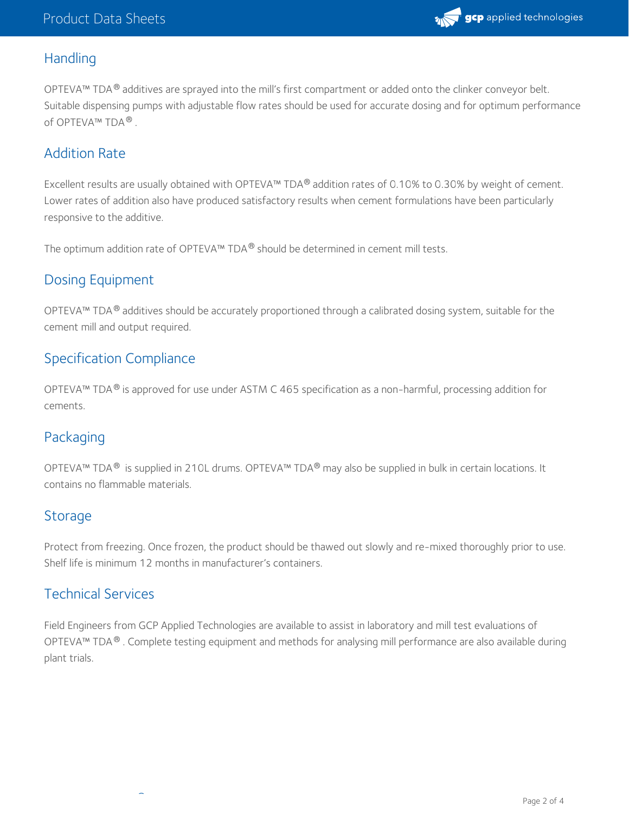

#### **Handling**

OPTEVA™ TDA $^{\circledR}$  additives are sprayed into the mill's first compartment or added onto the clinker conveyor belt. Suitable dispensing pumps with adjustable flow rates should be used for accurate dosing and for optimum performance of OPTEVA™ TDA®.

#### Addition Rate

Excellent results are usually obtained with OPTEVA™ TDA® addition rates of 0.10% to 0.30% by weight of cement. Lower rates of addition also have produced satisfactory results when cement formulations have been particularly responsive to the additive.

The optimum addition rate of OPTEVA™ TDA® should be determined in cement mill tests.

#### Dosing Equipment

OPTEVA™ TDA® additives should be accurately proportioned through a calibrated dosing system, suitable for the cement mill and output required.

#### Specification Compliance

OPTEVA™ TDA® is approved for use under ASTM C 465 specification as a non-harmful, processing addition for cements.

## Packaging

OPTEVA™ TDA® is supplied in 210L drums. OPTEVA™ TDA® may also be supplied in bulk in certain locations. It contains no flammable materials.

#### Storage

Protect from freezing. Once frozen, the product should be thawed out slowly and re-mixed thoroughly prior to use. Shelf life is minimum 12 months in manufacturer's containers.

#### Technical Services

®®

Field Engineers from GCP Applied Technologies are available to assist in laboratory and mill test evaluations of OPTEVA™ TDA®. Complete testing equipment and methods for analysing mill performance are also available during plant trials.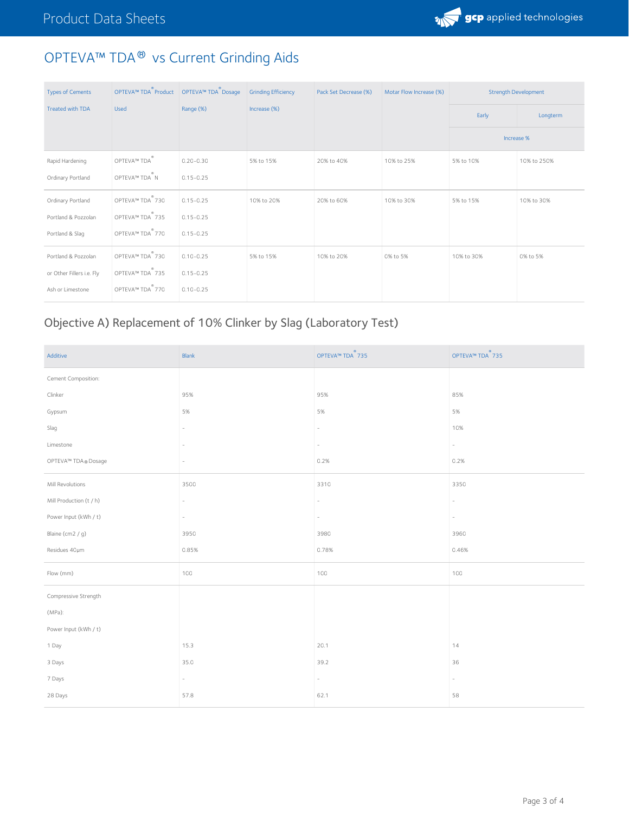

# OPTEVA™ TDA® vs Current Grinding Aids

| <b>Types of Cements</b>   | OPTEVA™ TDA Product        | OPTEVA™ TDA Dosage | <b>Grinding Efficiency</b> | Pack Set Decrease (%) | Motar Flow Increase (%) | <b>Strength Development</b> |             |
|---------------------------|----------------------------|--------------------|----------------------------|-----------------------|-------------------------|-----------------------------|-------------|
| <b>Treated with TDA</b>   | <b>Used</b>                | Range (%)          | Increase (%)               |                       |                         | Early                       | Longterm    |
|                           |                            |                    |                            |                       |                         |                             | Increase %  |
| Rapid Hardening           | OPTEVA™ TDA                | $0.20 - 0.30$      | 5% to 15%                  | 20% to 40%            | 10% to 25%              | 5% to 10%                   | 10% to 250% |
| Ordinary Portland         | OPTEVA™ TDA <sup>®</sup> N | $0.15 - 0.25$      |                            |                       |                         |                             |             |
| Ordinary Portland         | OPTEVA™ TDA®730            | $0.15 - 0.25$      | 10% to 20%                 | 20% to 60%            | 10% to 30%              | 5% to 15%                   | 10% to 30%  |
| Portland & Pozzolan       | OPTEVA™ TDA 735            | $0.15 - 0.25$      |                            |                       |                         |                             |             |
| Portland & Slag           | OPTEVA™ TDA®770            | $0.15 - 0.25$      |                            |                       |                         |                             |             |
| Portland & Pozzolan       | OPTEVA™ TDA 730            | $0.10 - 0.25$      | 5% to 15%                  | 10% to 20%            | 0% to 5%                | 10% to 30%                  | 0% to 5%    |
| or Other Fillers i.e. Fly | OPTEVA™ TDA 735            | $0.15 - 0.25$      |                            |                       |                         |                             |             |
| Ash or Limestone          | OPTEVA™ TDA 770            | $0.10 - 0.25$      |                            |                       |                         |                             |             |

# Objective A) Replacement of 10% Clinker by Slag (Laboratory Test)

| Additive                | Blank                    | OPTEVA™ TDA <sup>®</sup> 735 | OPTEVA™ TDA <sup>®</sup> 735 |
|-------------------------|--------------------------|------------------------------|------------------------------|
| Cement Composition:     |                          |                              |                              |
| Clinker                 | 95%                      | 95%                          | 85%                          |
| Gypsum                  | 5%                       | 5%                           | 5%                           |
| Slag                    | ٠                        | $\overline{\phantom{a}}$     | 10%                          |
| Limestone               | $\overline{\phantom{m}}$ |                              |                              |
| OPTEVA™ TDA® Dosage     | $\overline{\phantom{a}}$ | 0.2%                         | 0.2%                         |
| Mill Revolutions        | 3500                     | 3310                         | 3350                         |
| Mill Production (t / h) | $\overline{\phantom{a}}$ | $\overline{\phantom{0}}$     |                              |
| Power Input (kWh / t)   | $\overline{\phantom{a}}$ | $\sim$                       |                              |
| Blaine (cm2 / g)        | 3950                     | 3980                         | 3960                         |
| Residues 40um           | 0.85%                    | 0.78%                        | 0.46%                        |
| Flow (mm)               | 100                      | 100                          | 100                          |
| Compressive Strength    |                          |                              |                              |
| $(MPa)$ :               |                          |                              |                              |
| Power Input (kWh / t)   |                          |                              |                              |
| 1 Day                   | 15.3                     | 20.1                         | 14                           |
| 3 Days                  | 35.0                     | 39.2                         | 36                           |
| 7 Days                  | $\overline{\phantom{a}}$ | $\overline{\phantom{a}}$     |                              |
| 28 Days                 | 57.8                     | 62.1                         | 58                           |